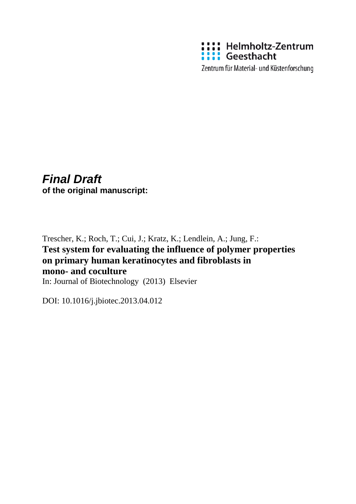

Zentrum für Material- und Küstenforschung

# *Final Draft* **of the original manuscript:**

# Trescher, K.; Roch, T.; Cui, J.; Kratz, K.; Lendlein, A.; Jung, F.: **Test system for evaluating the influence of polymer properties on primary human keratinocytes and fibroblasts in mono- and coculture** In: Journal of Biotechnology (2013) Elsevier

DOI: 10.1016/j.jbiotec.2013.04.012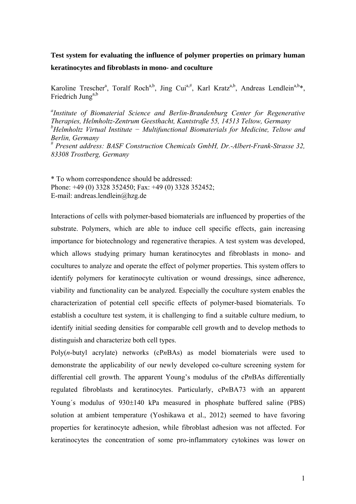# **Test system for evaluating the influence of polymer properties on primary human keratinocytes and fibroblasts in mono- and coculture**

Karoline Trescher<sup>a</sup>, Toralf Roch<sup>a,b</sup>, Jing Cui<sup>a,#</sup>, Karl Kratz<sup>a,b</sup>, Andreas Lendlein<sup>a,b\*</sup>, Friedrich Jung<sup>a,b</sup>

*a Institute of Biomaterial Science and Berlin-Brandenburg Center for Regenerative Therapies, Helmholtz-Zentrum Geesthacht, Kantstraße 55, 14513 Teltow, Germany b Helmholtz Virtual Institute − Multifunctional Biomaterials for Medicine, Teltow and Berlin, Germany*  # *Present address: BASF Construction Chemicals GmbH, Dr.-Albert-Frank-Strasse 32, 83308 Trostberg, Germany* 

\* To whom correspondence should be addressed: Phone: +49 (0) 3328 352450; Fax: +49 (0) 3328 352452; E-mail: andreas.lendlein@hzg.de

Interactions of cells with polymer-based biomaterials are influenced by properties of the substrate. Polymers, which are able to induce cell specific effects, gain increasing importance for biotechnology and regenerative therapies. A test system was developed, which allows studying primary human keratinocytes and fibroblasts in mono- and cocultures to analyze and operate the effect of polymer properties. This system offers to identify polymers for keratinocyte cultivation or wound dressings, since adherence, viability and functionality can be analyzed. Especially the coculture system enables the characterization of potential cell specific effects of polymer-based biomaterials. To establish a coculture test system, it is challenging to find a suitable culture medium, to identify initial seeding densities for comparable cell growth and to develop methods to distinguish and characterize both cell types.

Poly(*n*-butyl acrylate) networks (cP*n*BAs) as model biomaterials were used to demonstrate the applicability of our newly developed co-culture screening system for differential cell growth. The apparent Young's modulus of the cP*n*BAs differentially regulated fibroblasts and keratinocytes. Particularly, cP*n*BA73 with an apparent Young's modulus of  $930\pm140$  kPa measured in phosphate buffered saline (PBS) solution at ambient temperature (Yoshikawa et al., 2012) seemed to have favoring properties for keratinocyte adhesion, while fibroblast adhesion was not affected. For keratinocytes the concentration of some pro-inflammatory cytokines was lower on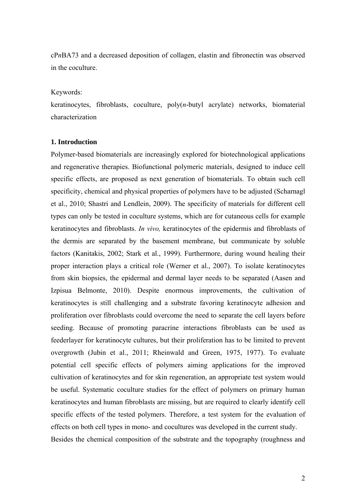cP*n*BA73 and a decreased deposition of collagen, elastin and fibronectin was observed in the coculture.

#### Keywords:

keratinocytes, fibroblasts, coculture, poly(*n*-butyl acrylate) networks, biomaterial characterization

### **1. Introduction**

Polymer-based biomaterials are increasingly explored for biotechnological applications and regenerative therapies. Biofunctional polymeric materials, designed to induce cell specific effects, are proposed as next generation of biomaterials. To obtain such cell specificity, chemical and physical properties of polymers have to be adjusted (Scharnagl et al., 2010; Shastri and Lendlein, 2009). The specificity of materials for different cell types can only be tested in coculture systems, which are for cutaneous cells for example keratinocytes and fibroblasts. *In vivo,* keratinocytes of the epidermis and fibroblasts of the dermis are separated by the basement membrane, but communicate by soluble factors (Kanitakis, 2002; Stark et al., 1999). Furthermore, during wound healing their proper interaction plays a critical role (Werner et al., 2007). To isolate keratinocytes from skin biopsies, the epidermal and dermal layer needs to be separated (Aasen and Izpisua Belmonte, 2010). Despite enormous improvements, the cultivation of keratinocytes is still challenging and a substrate favoring keratinocyte adhesion and proliferation over fibroblasts could overcome the need to separate the cell layers before seeding. Because of promoting paracrine interactions fibroblasts can be used as feederlayer for keratinocyte cultures, but their proliferation has to be limited to prevent overgrowth (Jubin et al., 2011; Rheinwald and Green, 1975, 1977). To evaluate potential cell specific effects of polymers aiming applications for the improved cultivation of keratinocytes and for skin regeneration, an appropriate test system would be useful. Systematic coculture studies for the effect of polymers on primary human keratinocytes and human fibroblasts are missing, but are required to clearly identify cell specific effects of the tested polymers. Therefore, a test system for the evaluation of effects on both cell types in mono- and cocultures was developed in the current study. Besides the chemical composition of the substrate and the topography (roughness and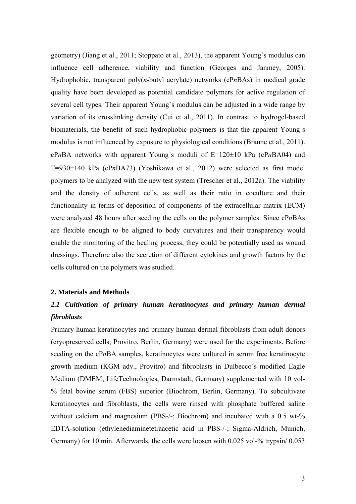geometry) (Jiang et al., 2011; Stoppato et al., 2013), the apparent Young´s modulus can influence cell adherence, viability and function (Georges and Janmey, 2005). Hydrophobic, transparent poly(*n*-butyl acrylate) networks (cP*n*BAs) in medical grade quality have been developed as potential candidate polymers for active regulation of several cell types. Their apparent Young´s modulus can be adjusted in a wide range by variation of its crosslinking density (Cui et al., 2011). In contrast to hydrogel-based biomaterials, the benefit of such hydrophobic polymers is that the apparent Young´s modulus is not influenced by exposure to physiological conditions (Braune et al., 2011).  $cPnBA$  networks with apparent Young's moduli of  $E=120\pm10$  kPa ( $cPnBA04$ ) and E=930±140 kPa (cPnBA73) (Yoshikawa et al., 2012) were selected as first model polymers to be analyzed with the new test system (Trescher et al., 2012a). The viability and the density of adherent cells, as well as their ratio in coculture and their functionality in terms of deposition of components of the extracellular matrix (ECM) were analyzed 48 hours after seeding the cells on the polymer samples. Since cP*n*BAs are flexible enough to be aligned to body curvatures and their transparency would enable the monitoring of the healing process, they could be potentially used as wound dressings. Therefore also the secretion of different cytokines and growth factors by the cells cultured on the polymers was studied.

#### **2. Materials and Methods**

# *2.1 Cultivation of primary human keratinocytes and primary human dermal fibroblasts*

Primary human keratinocytes and primary human dermal fibroblasts from adult donors (cryopreserved cells; Provitro, Berlin, Germany) were used for the experiments. Before seeding on the cP*n*BA samples, keratinocytes were cultured in serum free keratinocyte growth medium (KGM adv., Provitro) and fibroblasts in Dulbecco´s modified Eagle Medium (DMEM; LifeTechnologies, Darmstadt, Germany) supplemented with 10 vol- % fetal bovine serum (FBS) superior (Biochrom, Berlin, Germany). To subcultivate keratinocytes and fibroblasts, the cells were rinsed with phosphate buffered saline without calcium and magnesium (PBS-/-; Biochrom) and incubated with a 0.5 wt-% EDTA-solution (ethylenediaminetetraacetic acid in PBS-/-; Sigma-Aldrich, Munich, Germany) for 10 min. Afterwards, the cells were loosen with 0.025 vol-% trypsin/ 0.053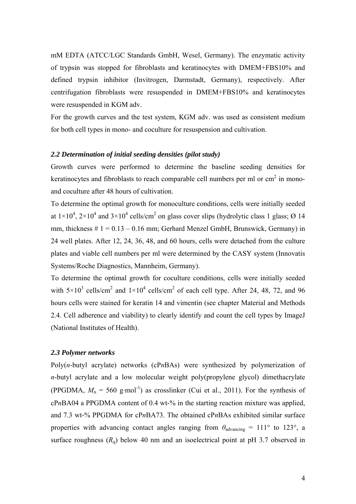mM EDTA (ATCC/LGC Standards GmbH, Wesel, Germany). The enzymatic activity of trypsin was stopped for fibroblasts and keratinocytes with DMEM+FBS10% and defined trypsin inhibitor (Invitrogen, Darmstadt, Germany), respectively. After centrifugation fibroblasts were resuspended in DMEM+FBS10% and keratinocytes were resuspended in KGM adv.

For the growth curves and the test system, KGM adv. was used as consistent medium for both cell types in mono- and coculture for resuspension and cultivation.

## *2.2 Determination of initial seeding densities (pilot study)*

Growth curves were performed to determine the baseline seeding densities for keratinocytes and fibroblasts to reach comparable cell numbers per ml or  $cm<sup>2</sup>$  in monoand coculture after 48 hours of cultivation.

To determine the optimal growth for monoculture conditions, cells were initially seeded at  $1\times10^4$ ,  $2\times10^4$  and  $3\times10^4$  cells/cm<sup>2</sup> on glass cover slips (hydrolytic class 1 glass; Ø 14 mm, thickness  $\# 1 = 0.13 - 0.16$  mm; Gerhard Menzel GmbH, Brunswick, Germany) in 24 well plates. After 12, 24, 36, 48, and 60 hours, cells were detached from the culture plates and viable cell numbers per ml were determined by the CASY system (Innovatis Systems/Roche Diagnostics, Mannheim, Germany).

To determine the optimal growth for coculture conditions, cells were initially seeded with  $5\times10^3$  cells/cm<sup>2</sup> and  $1\times10^4$  cells/cm<sup>2</sup> of each cell type. After 24, 48, 72, and 96 hours cells were stained for keratin 14 and vimentin (see chapter Material and Methods 2.4. Cell adherence and viability) to clearly identify and count the cell types by ImageJ (National Institutes of Health).

## *2.3 Polymer networks*

Poly(*n*-butyl acrylate) networks (cP*n*BAs) were synthesized by polymerization of *n*-butyl acrylate and a low molecular weight poly(propylene glycol) dimethacrylate (PPGDMA,  $M_n = 560$  g·mol<sup>-1</sup>) as crosslinker (Cui et al., 2011). For the synthesis of cP*n*BA04 a PPGDMA content of 0.4 wt-% in the starting reaction mixture was applied, and 7.3 wt-% PPGDMA for cP*n*BA73. The obtained cP*n*BAs exhibited similar surface properties with advancing contact angles ranging from  $\theta_{\text{advancing}} = 111^{\circ}$  to 123°, a surface roughness  $(R<sub>q</sub>)$  below 40 nm and an isoelectrical point at pH 3.7 observed in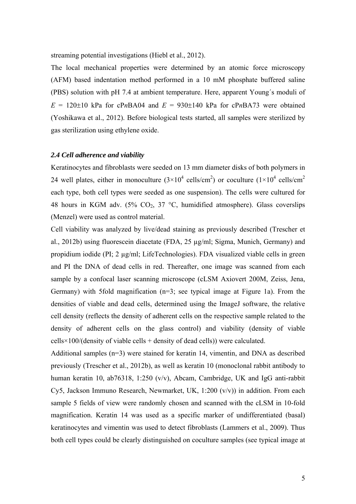streaming potential investigations (Hiebl et al., 2012).

The local mechanical properties were determined by an atomic force microscopy (AFM) based indentation method performed in a 10 mM phosphate buffered saline (PBS) solution with pH 7.4 at ambient temperature. Here, apparent Young´s moduli of  $E = 120\pm 10$  kPa for cPnBA04 and  $E = 930\pm 140$  kPa for cPnBA73 were obtained (Yoshikawa et al., 2012). Before biological tests started, all samples were sterilized by gas sterilization using ethylene oxide.

## *2.4 Cell adherence and viability*

Keratinocytes and fibroblasts were seeded on 13 mm diameter disks of both polymers in 24 well plates, either in monoculture  $(3\times10^4 \text{ cells/cm}^2)$  or coculture  $(1\times10^4 \text{ cells/cm}^2)$ each type, both cell types were seeded as one suspension). The cells were cultured for 48 hours in KGM adv. (5%  $CO<sub>2</sub>$ , 37 °C, humidified atmosphere). Glass coverslips (Menzel) were used as control material.

Cell viability was analyzed by live/dead staining as previously described (Trescher et al., 2012b) using fluorescein diacetate (FDA, 25 µg/ml; Sigma, Munich, Germany) and propidium iodide (PI; 2 µg/ml; LifeTechnologies). FDA visualized viable cells in green and PI the DNA of dead cells in red. Thereafter, one image was scanned from each sample by a confocal laser scanning microscope (cLSM Axiovert 200M, Zeiss, Jena, Germany) with 5fold magnification (n=3; see typical image at Figure 1a). From the densities of viable and dead cells, determined using the ImageJ software, the relative cell density (reflects the density of adherent cells on the respective sample related to the density of adherent cells on the glass control) and viability (density of viable  $cells \times 100/(density of viable cells + density of dead cells)$  were calculated.

Additional samples (n=3) were stained for keratin 14, vimentin, and DNA as described previously (Trescher et al., 2012b), as well as keratin 10 (monoclonal rabbit antibody to human keratin 10, ab76318, 1:250 (v/v), Abcam, Cambridge, UK and IgG anti-rabbit Cy5, Jackson Immuno Research, Newmarket, UK, 1:200  $(v/v)$ ) in addition. From each sample 5 fields of view were randomly chosen and scanned with the cLSM in 10-fold magnification. Keratin 14 was used as a specific marker of undifferentiated (basal) keratinocytes and vimentin was used to detect fibroblasts (Lammers et al., 2009). Thus both cell types could be clearly distinguished on coculture samples (see typical image at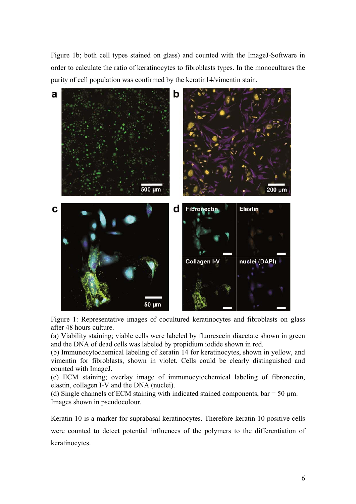Figure 1b; both cell types stained on glass) and counted with the ImageJ-Software in order to calculate the ratio of keratinocytes to fibroblasts types. In the monocultures the purity of cell population was confirmed by the keratin14/vimentin stain.



Figure 1: Representative images of cocultured keratinocytes and fibroblasts on glass after 48 hours culture.

(a) Viability staining; viable cells were labeled by fluorescein diacetate shown in green and the DNA of dead cells was labeled by propidium iodide shown in red.

(b) Immunocytochemical labeling of keratin 14 for keratinocytes, shown in yellow, and vimentin for fibroblasts, shown in violet. Cells could be clearly distinguished and counted with ImageJ.

(c) ECM staining; overlay image of immunocytochemical labeling of fibronectin, elastin, collagen I-V and the DNA (nuclei).

(d) Single channels of ECM staining with indicated stained components,  $bar = 50 \mu m$ . Images shown in pseudocolour.

Keratin 10 is a marker for suprabasal keratinocytes. Therefore keratin 10 positive cells were counted to detect potential influences of the polymers to the differentiation of keratinocytes.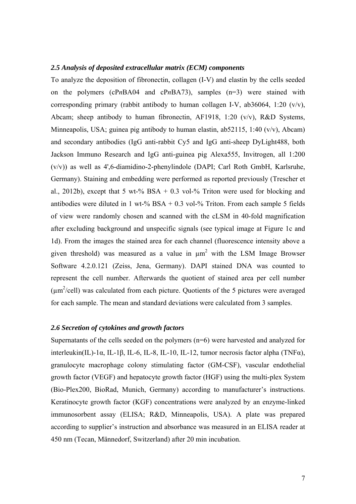#### *2.5 Analysis of deposited extracellular matrix (ECM) components*

To analyze the deposition of fibronectin, collagen (I-V) and elastin by the cells seeded on the polymers (cP*n*BA04 and cP*n*BA73), samples (n=3) were stained with corresponding primary (rabbit antibody to human collagen I-V, ab36064, 1:20  $(v/v)$ , Abcam; sheep antibody to human fibronectin, AF1918, 1:20 (v/v), R&D Systems, Minneapolis, USA; guinea pig antibody to human elastin, ab52115, 1:40 (v/v), Abcam) and secondary antibodies (IgG anti-rabbit Cy5 and IgG anti-sheep DyLight488, both Jackson Immuno Research and IgG anti-guinea pig Alexa555, Invitrogen, all 1:200 (v/v)) as well as 4',6-diamidino-2-phenylindole (DAPI; Carl Roth GmbH, Karlsruhe, Germany). Staining and embedding were performed as reported previously (Trescher et al., 2012b), except that 5 wt-% BSA + 0.3 vol-% Triton were used for blocking and antibodies were diluted in 1 wt-%  $BSA + 0.3$  vol-% Triton. From each sample 5 fields of view were randomly chosen and scanned with the cLSM in 40-fold magnification after excluding background and unspecific signals (see typical image at Figure 1c and 1d). From the images the stained area for each channel (fluorescence intensity above a given threshold) was measured as a value in  $\mu$ m<sup>2</sup> with the LSM Image Browser Software 4.2.0.121 (Zeiss, Jena, Germany). DAPI stained DNA was counted to represent the cell number. Afterwards the quotient of stained area per cell number  $(\mu m^2/cell)$  was calculated from each picture. Quotients of the 5 pictures were averaged for each sample. The mean and standard deviations were calculated from 3 samples.

### *2.6 Secretion of cytokines and growth factors*

Supernatants of the cells seeded on the polymers (n=6) were harvested and analyzed for interleukin(IL)-1α, IL-1β, IL-6, IL-8, IL-10, IL-12, tumor necrosis factor alpha (TNFα), granulocyte macrophage colony stimulating factor (GM-CSF), vascular endothelial growth factor (VEGF) and hepatocyte growth factor (HGF) using the multi-plex System (Bio-Plex200, BioRad, Munich, Germany) according to manufacturer's instructions. Keratinocyte growth factor (KGF) concentrations were analyzed by an enzyme-linked immunosorbent assay (ELISA; R&D, Minneapolis, USA). A plate was prepared according to supplier's instruction and absorbance was measured in an ELISA reader at 450 nm (Tecan, Männedorf, Switzerland) after 20 min incubation.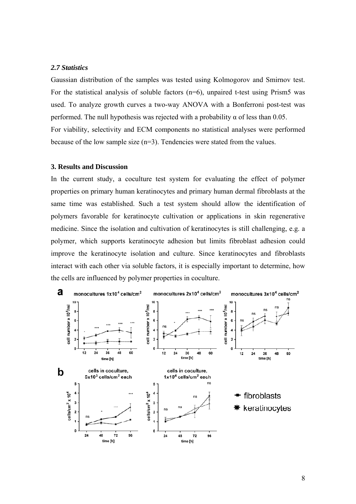#### *2.7 Statistics*

Gaussian distribution of the samples was tested using Kolmogorov and Smirnov test. For the statistical analysis of soluble factors  $(n=6)$ , unpaired t-test using Prism5 was used. To analyze growth curves a two-way ANOVA with a Bonferroni post-test was performed. The null hypothesis was rejected with a probability  $\alpha$  of less than 0.05. For viability, selectivity and ECM components no statistical analyses were performed because of the low sample size (n=3). Tendencies were stated from the values.

### **3. Results and Discussion**

In the current study, a coculture test system for evaluating the effect of polymer properties on primary human keratinocytes and primary human dermal fibroblasts at the same time was established. Such a test system should allow the identification of polymers favorable for keratinocyte cultivation or applications in skin regenerative medicine. Since the isolation and cultivation of keratinocytes is still challenging, e.g. a polymer, which supports keratinocyte adhesion but limits fibroblast adhesion could improve the keratinocyte isolation and culture. Since keratinocytes and fibroblasts interact with each other via soluble factors, it is especially important to determine, how the cells are influenced by polymer properties in coculture.

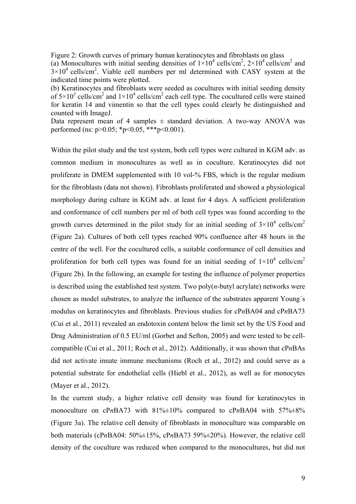Figure 2: Growth curves of primary human keratinocytes and fibroblasts on glass (a) Monocultures with initial seeding densities of  $1\times10^4$  cells/cm<sup>2</sup>,  $2\times10^4$  cells/cm<sup>2</sup> and  $3 \times 10^4$  cells/cm<sup>2</sup>. Viable cell numbers per ml determined with CASY system at the indicated time points were plotted.

(b) Keratinocytes and fibroblasts were seeded as cocultures with initial seeding density of  $5 \times 10^3$  cells/cm<sup>2</sup> and  $1 \times 10^4$  cells/cm<sup>2</sup> each cell type. The cocultured cells were stained for keratin 14 and vimentin so that the cell types could clearly be distinguished and counted with ImageJ.

Data represent mean of 4 samples  $\pm$  standard deviation. A two-way ANOVA was performed (ns:  $p > 0.05$ ; \*p<0.05, \*\*\*p<0.001).

Within the pilot study and the test system, both cell types were cultured in KGM adv. as common medium in monocultures as well as in coculture. Keratinocytes did not proliferate in DMEM supplemented with 10 vol-% FBS, which is the regular medium for the fibroblasts (data not shown). Fibroblasts proliferated and showed a physiological morphology during culture in KGM adv. at least for 4 days. A sufficient proliferation and conformance of cell numbers per ml of both cell types was found according to the growth curves determined in the pilot study for an initial seeding of  $3\times10^4$  cells/cm<sup>2</sup> (Figure 2a). Cultures of both cell types reached 90% confluence after 48 hours in the centre of the well. For the cocultured cells, a suitable conformance of cell densities and proliferation for both cell types was found for an initial seeding of  $1\times10^4$  cells/cm<sup>2</sup> (Figure 2b). In the following, an example for testing the influence of polymer properties is described using the established test system. Two poly(*n*-butyl acrylate) networks were chosen as model substrates, to analyze the influence of the substrates apparent Young´s modulus on keratinocytes and fibroblasts. Previous studies for cP*n*BA04 and cP*n*BA73 (Cui et al., 2011) revealed an endotoxin content below the limit set by the US Food and Drug Administration of 0.5 EU/ml (Gorbet and Sefton, 2005) and were tested to be cellcompatible (Cui et al., 2011; Roch et al., 2012). Additionally, it was shown that cP*n*BAs did not activate innate immune mechanisms (Roch et al., 2012) and could serve as a potential substrate for endothelial cells (Hiebl et al., 2012), as well as for monocytes (Mayer et al., 2012).

In the current study, a higher relative cell density was found for keratinocytes in monoculture on cPnBA73 with 81%±10% compared to cPnBA04 with 57%±8% (Figure 3a). The relative cell density of fibroblasts in monoculture was comparable on both materials (cP*n*BA04: 50%±15%, cP*n*BA73 59%±20%). However, the relative cell density of the coculture was reduced when compared to the monocultures, but did not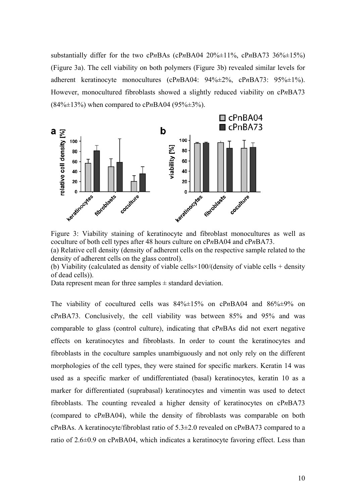substantially differ for the two cPnBAs (cPnBA04  $20\% \pm 11\%$ , cPnBA73 36% $\pm 15\%$ ) (Figure 3a). The cell viability on both polymers (Figure 3b) revealed similar levels for adherent keratinocyte monocultures (cP*n*BA04: 94%±2%, cP*n*BA73: 95%±1%). However, monocultured fibroblasts showed a slightly reduced viability on cP*n*BA73 (84%±13%) when compared to cP*n*BA04 (95%±3%).



Figure 3: Viability staining of keratinocyte and fibroblast monocultures as well as coculture of both cell types after 48 hours culture on cP*n*BA04 and cP*n*BA73. (a) Relative cell density (density of adherent cells on the respective sample related to the density of adherent cells on the glass control).

(b) Viability (calculated as density of viable cells×100/(density of viable cells + density of dead cells)).

Data represent mean for three samples  $\pm$  standard deviation.

The viability of cocultured cells was 84%±15% on cP*n*BA04 and 86%±9% on cP*n*BA73. Conclusively, the cell viability was between 85% and 95% and was comparable to glass (control culture), indicating that cP*n*BAs did not exert negative effects on keratinocytes and fibroblasts. In order to count the keratinocytes and fibroblasts in the coculture samples unambiguously and not only rely on the different morphologies of the cell types, they were stained for specific markers. Keratin 14 was used as a specific marker of undifferentiated (basal) keratinocytes, keratin 10 as a marker for differentiated (suprabasal) keratinocytes and vimentin was used to detect fibroblasts. The counting revealed a higher density of keratinocytes on cP*n*BA73 (compared to cP*n*BA04), while the density of fibroblasts was comparable on both cP*n*BAs. A keratinocyte/fibroblast ratio of 5.3±2.0 revealed on cP*n*BA73 compared to a ratio of 2.6±0.9 on cP*n*BA04, which indicates a keratinocyte favoring effect. Less than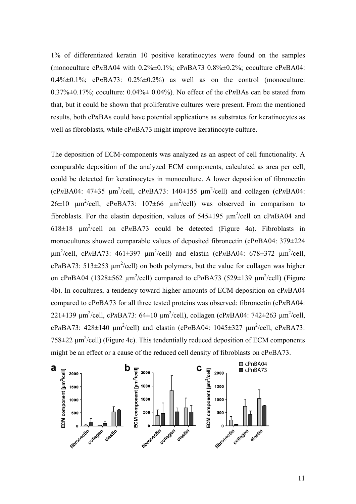1% of differentiated keratin 10 positive keratinocytes were found on the samples (monoculture cP*n*BA04 with 0.2%±0.1%; cP*n*BA73 0.8%±0.2%; coculture cP*n*BA04:  $0.4\% \pm 0.1\%$ ; cPnBA73:  $0.2\% \pm 0.2\%$  as well as on the control (monoculture: 0.37%±0.17%; coculture: 0.04%± 0.04%). No effect of the cP*n*BAs can be stated from that, but it could be shown that proliferative cultures were present. From the mentioned results, both cP*n*BAs could have potential applications as substrates for keratinocytes as well as fibroblasts, while cP*n*BA73 might improve keratinocyte culture.

The deposition of ECM-components was analyzed as an aspect of cell functionality. A comparable deposition of the analyzed ECM components, calculated as area per cell, could be detected for keratinocytes in monoculture. A lower deposition of fibronectin  $(cPnBA04: 47\pm35 \mu m^2/cell, cPnBA73: 140\pm155 \mu m^2/cell)$  and collagen  $(cPnBA04:$  $26\pm10$   $\mu$ m<sup>2</sup>/cell, cPnBA73:  $107\pm66$   $\mu$ m<sup>2</sup>/cell) was observed in comparison to fibroblasts. For the elastin deposition, values of  $545\pm195 \mu m^2/cell$  on cPnBA04 and 618 $\pm$ 18  $\mu$ m<sup>2</sup>/cell on cPnBA73 could be detected (Figure 4a). Fibroblasts in monocultures showed comparable values of deposited fibronectin (cP*n*BA04: 379±224  $\mu$ m<sup>2</sup>/cell, cPnBA73: 461±397  $\mu$ m<sup>2</sup>/cell) and elastin (cPnBA04: 678±372  $\mu$ m<sup>2</sup>/cell,  $cPnBA73$ : 513 $\pm$ 253  $\mu$ m<sup>2</sup>/cell) on both polymers, but the value for collagen was higher on cPnBA04 (1328 $\pm$ 562  $\mu$ m<sup>2</sup>/cell) compared to cPnBA73 (529 $\pm$ 139  $\mu$ m<sup>2</sup>/cell) (Figure 4b). In cocultures, a tendency toward higher amounts of ECM deposition on cP*n*BA04 compared to cP*n*BA73 for all three tested proteins was observed: fibronectin (cP*n*BA04: 221 $\pm$ 139  $\mu$ m<sup>2</sup>/cell, cPnBA73: 64 $\pm$ 10  $\mu$ m<sup>2</sup>/cell), collagen (cPnBA04: 742 $\pm$ 263  $\mu$ m<sup>2</sup>/cell,  $cPnBA73$ :  $428\pm140 \mu m^2/cell$ ) and elastin ( $cPnBA04$ :  $1045\pm327 \mu m^2/cell$ ,  $cPnBA73$ :  $758 \pm 22 \mu m^2$ /cell) (Figure 4c). This tendentially reduced deposition of ECM components might be an effect or a cause of the reduced cell density of fibroblasts on cP*n*BA73.

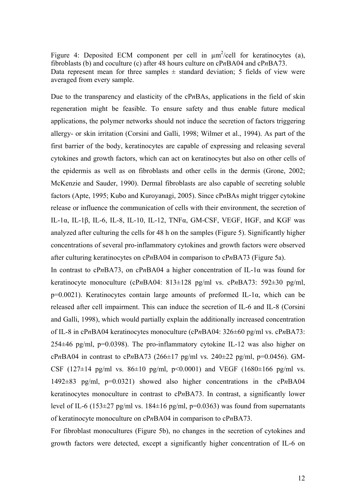Figure 4: Deposited ECM component per cell in  $\mu$ m<sup>2</sup>/cell for keratinocytes (a), fibroblasts (b) and coculture (c) after 48 hours culture on cP*n*BA04 and cP*n*BA73. Data represent mean for three samples  $\pm$  standard deviation; 5 fields of view were averaged from every sample.

Due to the transparency and elasticity of the cP*n*BAs, applications in the field of skin regeneration might be feasible. To ensure safety and thus enable future medical applications, the polymer networks should not induce the secretion of factors triggering allergy- or skin irritation (Corsini and Galli, 1998; Wilmer et al., 1994). As part of the first barrier of the body, keratinocytes are capable of expressing and releasing several cytokines and growth factors, which can act on keratinocytes but also on other cells of the epidermis as well as on fibroblasts and other cells in the dermis (Grone, 2002; McKenzie and Sauder, 1990). Dermal fibroblasts are also capable of secreting soluble factors (Apte, 1995; Kubo and Kuroyanagi, 2005). Since cP*n*BAs might trigger cytokine release or influence the communication of cells with their environment, the secretion of IL-1α, IL-1β, IL-6, IL-8, IL-10, IL-12, TNFα, GM-CSF, VEGF, HGF, and KGF was analyzed after culturing the cells for 48 h on the samples (Figure 5). Significantly higher concentrations of several pro-inflammatory cytokines and growth factors were observed after culturing keratinocytes on cP*n*BA04 in comparison to cP*n*BA73 (Figure 5a).

In contrast to cP*n*BA73, on cP*n*BA04 a higher concentration of IL-1α was found for keratinocyte monoculture (cP*n*BA04: 813±128 pg/ml vs. cP*n*BA73: 592±30 pg/ml, p=0.0021). Keratinocytes contain large amounts of preformed IL-1 $\alpha$ , which can be released after cell impairment. This can induce the secretion of IL-6 and IL-8 (Corsini and Galli, 1998), which would partially explain the additionally increased concentration of IL-8 in cP*n*BA04 keratinocytes monoculture (cP*n*BA04: 326±60 pg/ml vs. cP*n*BA73: 254±46 pg/ml, p=0.0398). The pro-inflammatory cytokine IL-12 was also higher on cPnBA04 in contrast to cPnBA73 (266 $\pm$ 17 pg/ml vs. 240 $\pm$ 22 pg/ml, p=0.0456). GM-CSF (127 $\pm$ 14 pg/ml vs. 86 $\pm$ 10 pg/ml, p<0.0001) and VEGF (1680 $\pm$ 166 pg/ml vs. 1492±83 pg/ml, p=0.0321) showed also higher concentrations in the cP*n*BA04 keratinocytes monoculture in contrast to cP*n*BA73. In contrast, a significantly lower level of IL-6 (153 $\pm$ 27 pg/ml vs. 184 $\pm$ 16 pg/ml, p=0.0363) was found from supernatants of keratinocyte monoculture on cP*n*BA04 in comparison to cP*n*BA73.

For fibroblast monocultures (Figure 5b), no changes in the secretion of cytokines and growth factors were detected, except a significantly higher concentration of IL-6 on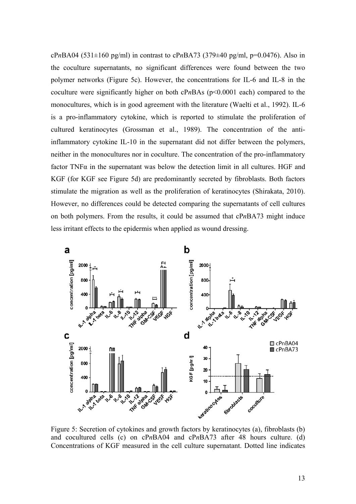cP*n*BA04 (531±160 pg/ml) in contrast to cP*n*BA73 (379±40 pg/ml, p=0.0476). Also in the coculture supernatants, no significant differences were found between the two polymer networks (Figure 5c). However, the concentrations for IL-6 and IL-8 in the coculture were significantly higher on both  $cPnBAs$  ( $p<0.0001$  each) compared to the monocultures, which is in good agreement with the literature (Waelti et al., 1992). IL-6 is a pro-inflammatory cytokine, which is reported to stimulate the proliferation of cultured keratinocytes (Grossman et al., 1989). The concentration of the antiinflammatory cytokine IL-10 in the supernatant did not differ between the polymers, neither in the monocultures nor in coculture. The concentration of the pro-inflammatory factor TNF $\alpha$  in the supernatant was below the detection limit in all cultures. HGF and KGF (for KGF see Figure 5d) are predominantly secreted by fibroblasts. Both factors stimulate the migration as well as the proliferation of keratinocytes (Shirakata, 2010). However, no differences could be detected comparing the supernatants of cell cultures on both polymers. From the results, it could be assumed that cP*n*BA73 might induce less irritant effects to the epidermis when applied as wound dressing.



Figure 5: Secretion of cytokines and growth factors by keratinocytes (a), fibroblasts (b) and cocultured cells (c) on cP*n*BA04 and cP*n*BA73 after 48 hours culture. (d) Concentrations of KGF measured in the cell culture supernatant. Dotted line indicates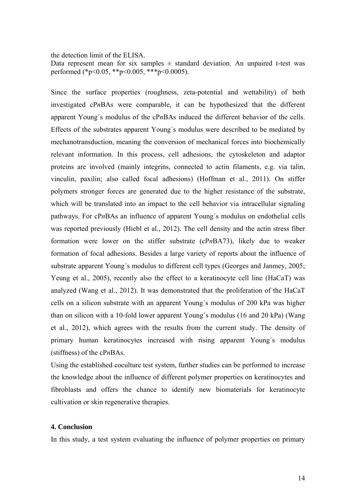#### the detection limit of the ELISA.

Data represent mean for six samples  $\pm$  standard deviation. An unpaired t-test was performed (\*p<0.05, \*\*p<0.005, \*\*\*p<0.0005).

Since the surface properties (roughness, zeta-potential and wettability) of both investigated cP*n*BAs were comparable, it can be hypothesized that the different apparent Young´s modulus of the cP*n*BAs induced the different behavior of the cells. Effects of the substrates apparent Young´s modulus were described to be mediated by mechanotransduction, meaning the conversion of mechanical forces into biochemically relevant information. In this process, cell adhesions, the cytoskeleton and adaptor proteins are involved (mainly integrins, connected to actin filaments, e.g. via talin, vinculin, paxilin; also called focal adhesions) (Hoffman et al., 2011). On stiffer polymers stronger forces are generated due to the higher resistance of the substrate, which will be translated into an impact to the cell behavior via intracellular signaling pathways. For cP*n*BAs an influence of apparent Young´s modulus on endothelial cells was reported previously (Hiebl et al., 2012). The cell density and the actin stress fiber formation were lower on the stiffer substrate (cP*n*BA73), likely due to weaker formation of focal adhesions. Besides a large variety of reports about the influence of substrate apparent Young´s modulus to different cell types (Georges and Janmey, 2005; Yeung et al., 2005), recently also the effect to a keratinocyte cell line (HaCaT) was analyzed (Wang et al., 2012). It was demonstrated that the proliferation of the HaCaT cells on a silicon substrate with an apparent Young´s modulus of 200 kPa was higher than on silicon with a 10-fold lower apparent Young´s modulus (16 and 20 kPa) (Wang et al., 2012), which agrees with the results from the current study. The density of primary human keratinocytes increased with rising apparent Young´s modulus (stiffness) of the cP*n*BAs.

Using the established coculture test system, further studies can be performed to increase the knowledge about the influence of different polymer properties on keratinocytes and fibroblasts and offers the chance to identify new biomaterials for keratinocyte cultivation or skin regenerative therapies.

#### **4. Conclusion**

In this study, a test system evaluating the influence of polymer properties on primary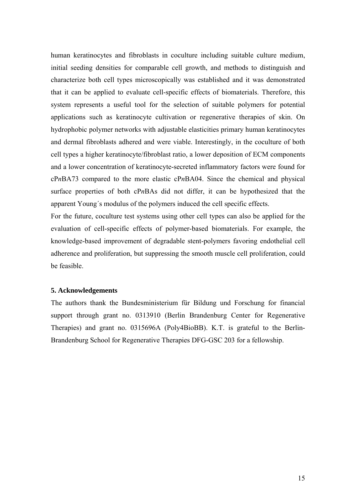human keratinocytes and fibroblasts in coculture including suitable culture medium, initial seeding densities for comparable cell growth, and methods to distinguish and characterize both cell types microscopically was established and it was demonstrated that it can be applied to evaluate cell-specific effects of biomaterials. Therefore, this system represents a useful tool for the selection of suitable polymers for potential applications such as keratinocyte cultivation or regenerative therapies of skin. On hydrophobic polymer networks with adjustable elasticities primary human keratinocytes and dermal fibroblasts adhered and were viable. Interestingly, in the coculture of both cell types a higher keratinocyte/fibroblast ratio, a lower deposition of ECM components and a lower concentration of keratinocyte-secreted inflammatory factors were found for cP*n*BA73 compared to the more elastic cP*n*BA04. Since the chemical and physical surface properties of both cP*n*BAs did not differ, it can be hypothesized that the apparent Young´s modulus of the polymers induced the cell specific effects.

For the future, coculture test systems using other cell types can also be applied for the evaluation of cell-specific effects of polymer-based biomaterials. For example, the knowledge-based improvement of degradable stent-polymers favoring endothelial cell adherence and proliferation, but suppressing the smooth muscle cell proliferation, could be feasible.

#### **5. Acknowledgements**

The authors thank the Bundesministerium für Bildung und Forschung for financial support through grant no. 0313910 (Berlin Brandenburg Center for Regenerative Therapies) and grant no. 0315696A (Poly4BioBB). K.T. is grateful to the Berlin-Brandenburg School for Regenerative Therapies DFG-GSC 203 for a fellowship.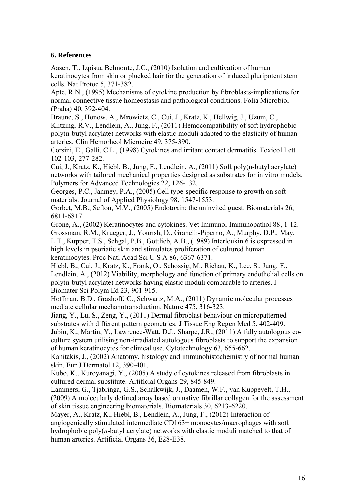# **6. References**

Aasen, T., Izpisua Belmonte, J.C., (2010) Isolation and cultivation of human keratinocytes from skin or plucked hair for the generation of induced pluripotent stem cells. Nat Protoc 5, 371-382.

Apte, R.N., (1995) Mechanisms of cytokine production by fibroblasts-implications for normal connective tissue homeostasis and pathological conditions. Folia Microbiol (Praha) 40, 392-404.

Braune, S., Honow, A., Mrowietz, C., Cui, J., Kratz, K., Hellwig, J., Uzum, C.,

Klitzing, R.V., Lendlein, A., Jung, F., (2011) Hemocompatibility of soft hydrophobic poly(n-butyl acrylate) networks with elastic moduli adapted to the elasticity of human arteries. Clin Hemorheol Microcirc 49, 375-390.

Corsini, E., Galli, C.L., (1998) Cytokines and irritant contact dermatitis. Toxicol Lett 102-103, 277-282.

Cui, J., Kratz, K., Hiebl, B., Jung, F., Lendlein, A., (2011) Soft poly(n-butyl acrylate) networks with tailored mechanical properties designed as substrates for in vitro models. Polymers for Advanced Technologies 22, 126-132.

Georges, P.C., Janmey, P.A., (2005) Cell type-specific response to growth on soft materials. Journal of Applied Physiology 98, 1547-1553.

Gorbet, M.B., Sefton, M.V., (2005) Endotoxin: the uninvited guest. Biomaterials 26, 6811-6817.

Grone, A., (2002) Keratinocytes and cytokines. Vet Immunol Immunopathol 88, 1-12. Grossman, R.M., Krueger, J., Yourish, D., Granelli-Piperno, A., Murphy, D.P., May, L.T., Kupper, T.S., Sehgal, P.B., Gottlieb, A.B., (1989) Interleukin 6 is expressed in high levels in psoriatic skin and stimulates proliferation of cultured human keratinocytes. Proc Natl Acad Sci U S A 86, 6367-6371.

Hiebl, B., Cui, J., Kratz, K., Frank, O., Schossig, M., Richau, K., Lee, S., Jung, F., Lendlein, A., (2012) Viability, morphology and function of primary endothelial cells on poly(n-butyl acrylate) networks having elastic moduli comparable to arteries. J Biomater Sci Polym Ed 23, 901-915.

Hoffman, B.D., Grashoff, C., Schwartz, M.A., (2011) Dynamic molecular processes mediate cellular mechanotransduction. Nature 475, 316-323.

Jiang, Y., Lu, S., Zeng, Y., (2011) Dermal fibroblast behaviour on micropatterned substrates with different pattern geometries. J Tissue Eng Regen Med 5, 402-409. Jubin, K., Martin, Y., Lawrence-Watt, D.J., Sharpe, J.R., (2011) A fully autologous coculture system utilising non-irradiated autologous fibroblasts to support the expansion of human keratinocytes for clinical use. Cytotechnology 63, 655-662.

Kanitakis, J., (2002) Anatomy, histology and immunohistochemistry of normal human skin. Eur J Dermatol 12, 390-401.

Kubo, K., Kuroyanagi, Y., (2005) A study of cytokines released from fibroblasts in cultured dermal substitute. Artificial Organs 29, 845-849.

Lammers, G., Tjabringa, G.S., Schalkwijk, J., Daamen, W.F., van Kuppevelt, T.H., (2009) A molecularly defined array based on native fibrillar collagen for the assessment of skin tissue engineering biomaterials. Biomaterials 30, 6213-6220.

Mayer, A., Kratz, K., Hiebl, B., Lendlein, A., Jung, F., (2012) Interaction of angiogenically stimulated intermediate CD163+ monocytes/macrophages with soft hydrophobic poly(*n*-butyl acrylate) networks with elastic moduli matched to that of human arteries. Artificial Organs 36, E28-E38.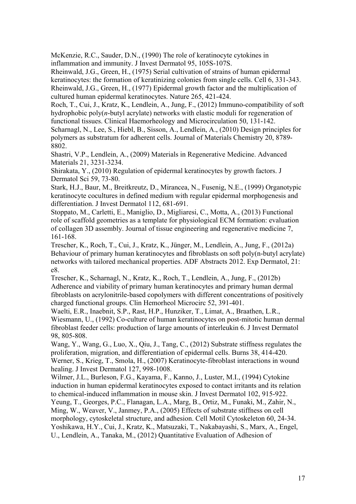McKenzie, R.C., Sauder, D.N., (1990) The role of keratinocyte cytokines in inflammation and immunity. J Invest Dermatol 95, 105S-107S.

Rheinwald, J.G., Green, H., (1975) Serial cultivation of strains of human epidermal keratinocytes: the formation of keratinizing colonies from single cells. Cell 6, 331-343. Rheinwald, J.G., Green, H., (1977) Epidermal growth factor and the multiplication of cultured human epidermal keratinocytes. Nature 265, 421-424.

Roch, T., Cui, J., Kratz, K., Lendlein, A., Jung, F., (2012) Immuno-compatibility of soft hydrophobic poly(*n*-butyl acrylate) networks with elastic moduli for regeneration of functional tissues. Clinical Haemorheology and Microcirculation 50, 131-142.

Scharnagl, N., Lee, S., Hiebl, B., Sisson, A., Lendlein, A., (2010) Design principles for polymers as substratum for adherent cells. Journal of Materials Chemistry 20, 8789- 8802.

Shastri, V.P., Lendlein, A., (2009) Materials in Regenerative Medicine. Advanced Materials 21, 3231-3234.

Shirakata, Y., (2010) Regulation of epidermal keratinocytes by growth factors. J Dermatol Sci 59, 73-80.

Stark, H.J., Baur, M., Breitkreutz, D., Mirancea, N., Fusenig, N.E., (1999) Organotypic keratinocyte cocultures in defined medium with regular epidermal morphogenesis and differentiation. J Invest Dermatol 112, 681-691.

Stoppato, M., Carletti, E., Maniglio, D., Migliaresi, C., Motta, A., (2013) Functional role of scaffold geometries as a template for physiological ECM formation: evaluation of collagen 3D assembly. Journal of tissue engineering and regenerative medicine 7, 161-168.

Trescher, K., Roch, T., Cui, J., Kratz, K., Jünger, M., Lendlein, A., Jung, F., (2012a) Behaviour of primary human keratinocytes and fibroblasts on soft poly(n-butyl acrylate) networks with tailored mechanical properties. ADF Abstracts 2012. Exp Dermatol, 21: e8.

Trescher, K., Scharnagl, N., Kratz, K., Roch, T., Lendlein, A., Jung, F., (2012b) Adherence and viability of primary human keratinocytes and primary human dermal fibroblasts on acrylonitrile-based copolymers with different concentrations of positively charged functional groups. Clin Hemorheol Microcirc 52, 391-401.

Waelti, E.R., Inaebnit, S.P., Rast, H.P., Hunziker, T., Limat, A., Braathen, L.R., Wiesmann, U., (1992) Co-culture of human keratinocytes on post-mitotic human dermal fibroblast feeder cells: production of large amounts of interleukin 6. J Invest Dermatol 98, 805-808.

Wang, Y., Wang, G., Luo, X., Qiu, J., Tang, C., (2012) Substrate stiffness regulates the proliferation, migration, and differentiation of epidermal cells. Burns 38, 414-420. Werner, S., Krieg, T., Smola, H., (2007) Keratinocyte-fibroblast interactions in wound healing. J Invest Dermatol 127, 998-1008.

Wilmer, J.L., Burleson, F.G., Kayama, F., Kanno, J., Luster, M.I., (1994) Cytokine induction in human epidermal keratinocytes exposed to contact irritants and its relation to chemical-induced inflammation in mouse skin. J Invest Dermatol 102, 915-922.

Yeung, T., Georges, P.C., Flanagan, L.A., Marg, B., Ortiz, M., Funaki, M., Zahir, N., Ming, W., Weaver, V., Janmey, P.A., (2005) Effects of substrate stiffness on cell morphology, cytoskeletal structure, and adhesion. Cell Motil Cytoskeleton 60, 24-34. Yoshikawa, H.Y., Cui, J., Kratz, K., Matsuzaki, T., Nakabayashi, S., Marx, A., Engel, U., Lendlein, A., Tanaka, M., (2012) Quantitative Evaluation of Adhesion of